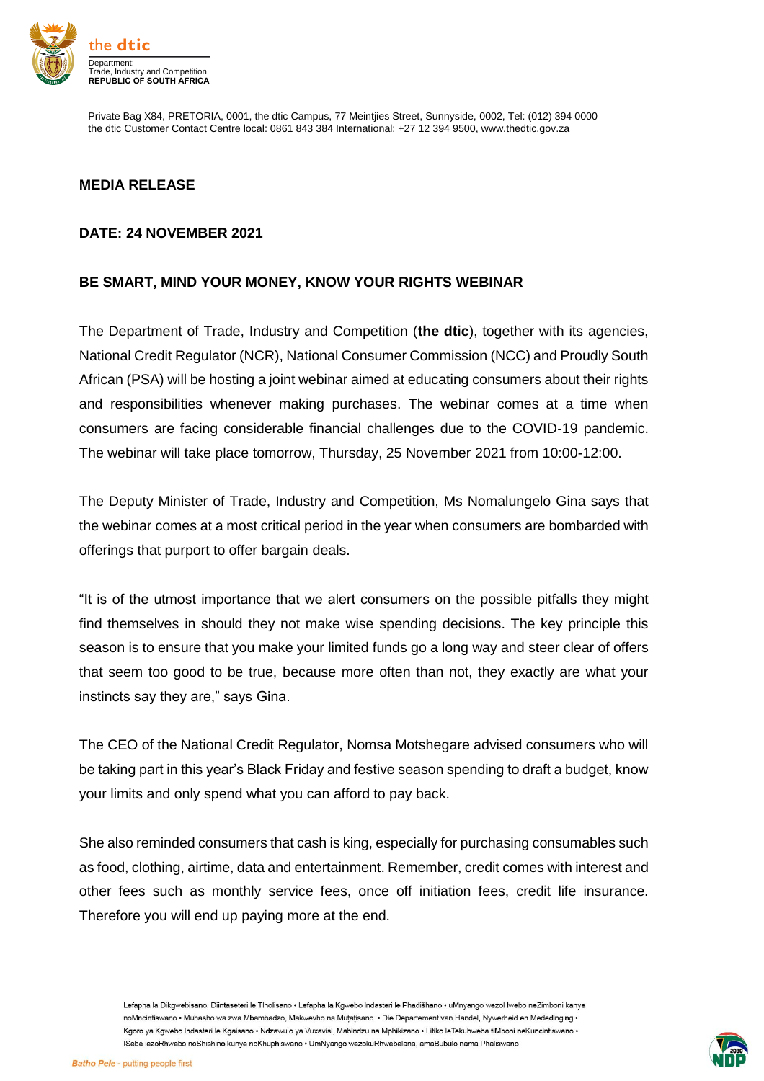

Private Bag X84, PRETORIA, 0001, the dtic Campus, 77 Meintjies Street, Sunnyside, 0002, Tel: (012) 394 0000 the dtic Customer Contact Centre local: 0861 843 384 International: +27 12 394 9500, www.thedtic.gov.za

## **MEDIA RELEASE**

## **DATE: 24 NOVEMBER 2021**

## **BE SMART, MIND YOUR MONEY, KNOW YOUR RIGHTS WEBINAR**

The Department of Trade, Industry and Competition (**the dtic**), together with its agencies, National Credit Regulator (NCR), National Consumer Commission (NCC) and Proudly South African (PSA) will be hosting a joint webinar aimed at educating consumers about their rights and responsibilities whenever making purchases. The webinar comes at a time when consumers are facing considerable financial challenges due to the COVID-19 pandemic. The webinar will take place tomorrow, Thursday, 25 November 2021 from 10:00-12:00.

The Deputy Minister of Trade, Industry and Competition, Ms Nomalungelo Gina says that the webinar comes at a most critical period in the year when consumers are bombarded with offerings that purport to offer bargain deals.

"It is of the utmost importance that we alert consumers on the possible pitfalls they might find themselves in should they not make wise spending decisions. The key principle this season is to ensure that you make your limited funds go a long way and steer clear of offers that seem too good to be true, because more often than not, they exactly are what your instincts say they are," says Gina.

The CEO of the National Credit Regulator, Nomsa Motshegare advised consumers who will be taking part in this year's Black Friday and festive season spending to draft a budget, know your limits and only spend what you can afford to pay back.

She also reminded consumers that cash is king, especially for purchasing consumables such as food, clothing, airtime, data and entertainment. Remember, credit comes with interest and other fees such as monthly service fees, once off initiation fees, credit life insurance. Therefore you will end up paying more at the end.

Lefapha la Dikgwebisano, Diintaseteri le Tlholisano · Lefapha la Kgwebo Indasteri le Phadišhano · uMnyango wezoHwebo neZimboni kanye noMncintiswano • Muhasho wa zwa Mbambadzo. Makwevho na Mutatisano • Die Departement van Handel. Nywerheid en Mededinging • Kgoro ya Kgwebo Indasteri le Kgaisano . Ndzawulo ya Vuxavisi, Mabindzu na Mphikizano . Litiko leTekuhweba tiMboni neKuncintiswano . ISebe lezoRhwebo noShishino kunye noKhuphiswano · UmNyango wezokuRhwebelana, amaBubulo nama Phaliswano